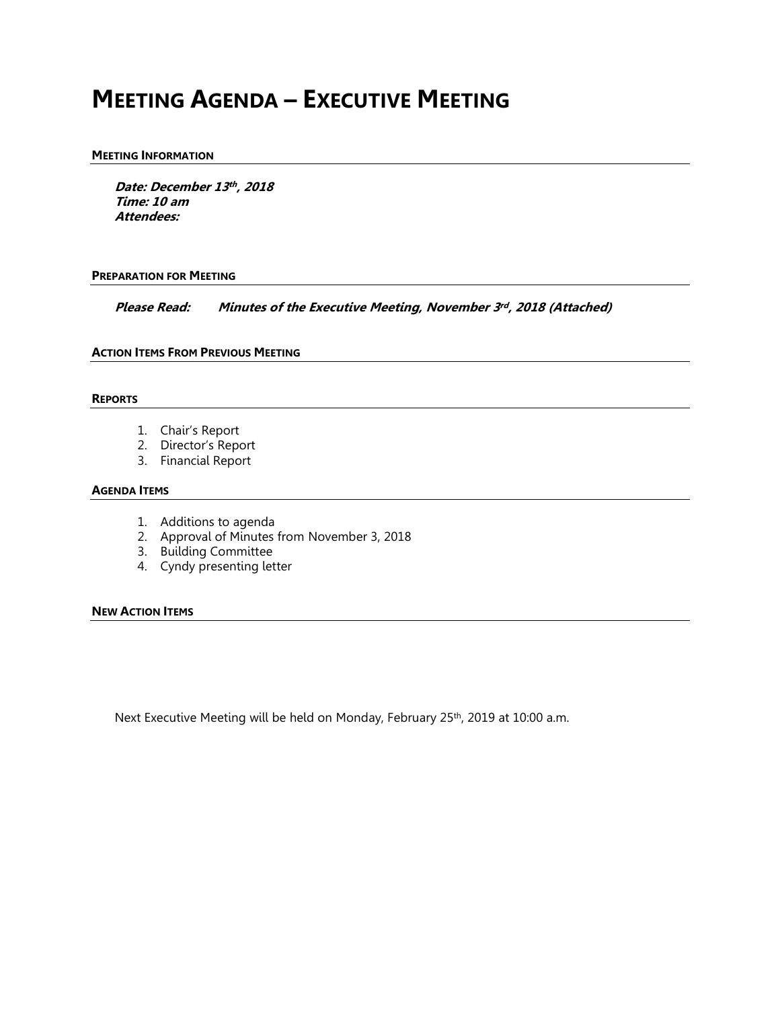# **MEETING AGENDA – EXECUTIVE MEETING**

## **MEETING INFORMATION**

**Date: December 13 th , 2018 Time: 10 am Attendees:**

## **PREPARATION FOR MEETING**

**Please Read: Minutes of the Executive Meeting, November 3 rd , 2018 (Attached)**

# **ACTION ITEMS FROM PREVIOUS MEETING**

# **REPORTS**

- 1. Chair's Report
- 2. Director's Report
- 3. Financial Report

# **AGENDA ITEMS**

- 1. Additions to agenda
- 2. Approval of Minutes from November 3, 2018
- 3. Building Committee
- 4. Cyndy presenting letter

# **NEW ACTION ITEMS**

Next Executive Meeting will be held on Monday, February 25<sup>th</sup>, 2019 at 10:00 a.m.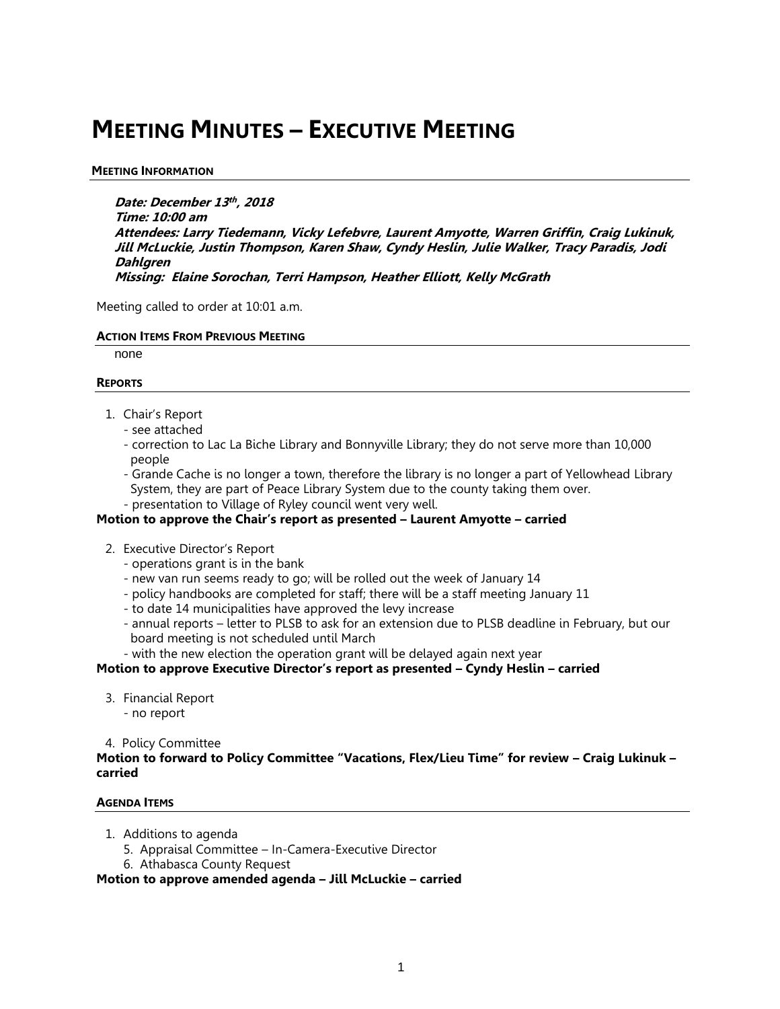# **MEETING MINUTES – EXECUTIVE MEETING**

# **MEETING INFORMATION**

**Date: December 13 th , 2018 Time: 10:00 am Attendees: Larry Tiedemann, Vicky Lefebvre, Laurent Amyotte, Warren Griffin, Craig Lukinuk, Jill McLuckie, Justin Thompson, Karen Shaw, Cyndy Heslin, Julie Walker, Tracy Paradis, Jodi Dahlgren Missing: Elaine Sorochan, Terri Hampson, Heather Elliott, Kelly McGrath**

Meeting called to order at 10:01 a.m.

# **ACTION ITEMS FROM PREVIOUS MEETING**

none

# **REPORTS**

- 1. Chair's Report
	- see attached
	- correction to Lac La Biche Library and Bonnyville Library; they do not serve more than 10,000 people
	- Grande Cache is no longer a town, therefore the library is no longer a part of Yellowhead Library System, they are part of Peace Library System due to the county taking them over.
	- presentation to Village of Ryley council went very well.

# **Motion to approve the Chair's report as presented – Laurent Amyotte – carried**

- 2. Executive Director's Report
	- operations grant is in the bank
	- new van run seems ready to go; will be rolled out the week of January 14
	- policy handbooks are completed for staff; there will be a staff meeting January 11
	- to date 14 municipalities have approved the levy increase
	- annual reports letter to PLSB to ask for an extension due to PLSB deadline in February, but our board meeting is not scheduled until March

- with the new election the operation grant will be delayed again next year

**Motion to approve Executive Director's report as presented – Cyndy Heslin – carried**

3. Financial Report - no report

4. Policy Committee

**Motion to forward to Policy Committee "Vacations, Flex/Lieu Time" for review – Craig Lukinuk – carried** 

# **AGENDA ITEMS**

- 1. Additions to agenda
	- 5. Appraisal Committee In-Camera-Executive Director
	- 6. Athabasca County Request

**Motion to approve amended agenda – Jill McLuckie – carried**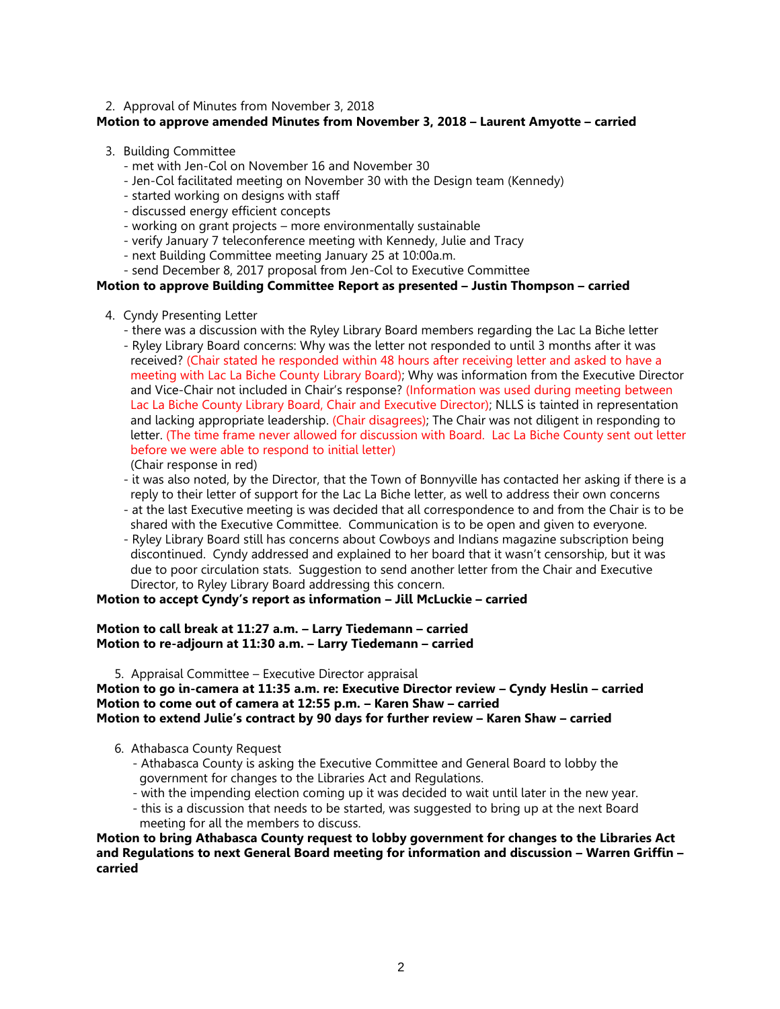# 2. Approval of Minutes from November 3, 2018

# **Motion to approve amended Minutes from November 3, 2018 – Laurent Amyotte – carried**

# 3. Building Committee

- met with Jen-Col on November 16 and November 30
- Jen-Col facilitated meeting on November 30 with the Design team (Kennedy)
- started working on designs with staff
- discussed energy efficient concepts
- working on grant projects more environmentally sustainable
- verify January 7 teleconference meeting with Kennedy, Julie and Tracy
- next Building Committee meeting January 25 at 10:00a.m.
- send December 8, 2017 proposal from Jen-Col to Executive Committee

# **Motion to approve Building Committee Report as presented – Justin Thompson – carried**

- 4. Cyndy Presenting Letter
	- there was a discussion with the Ryley Library Board members regarding the Lac La Biche letter
	- Ryley Library Board concerns: Why was the letter not responded to until 3 months after it was received? (Chair stated he responded within 48 hours after receiving letter and asked to have a meeting with Lac La Biche County Library Board); Why was information from the Executive Director and Vice-Chair not included in Chair's response? (Information was used during meeting between Lac La Biche County Library Board, Chair and Executive Director); NLLS is tainted in representation and lacking appropriate leadership. (Chair disagrees); The Chair was not diligent in responding to letter. (The time frame never allowed for discussion with Board. Lac La Biche County sent out letter before we were able to respond to initial letter)
	- (Chair response in red)
	- it was also noted, by the Director, that the Town of Bonnyville has contacted her asking if there is a reply to their letter of support for the Lac La Biche letter, as well to address their own concerns
	- at the last Executive meeting is was decided that all correspondence to and from the Chair is to be shared with the Executive Committee. Communication is to be open and given to everyone.
	- Ryley Library Board still has concerns about Cowboys and Indians magazine subscription being discontinued. Cyndy addressed and explained to her board that it wasn't censorship, but it was due to poor circulation stats. Suggestion to send another letter from the Chair and Executive Director, to Ryley Library Board addressing this concern.

# **Motion to accept Cyndy's report as information – Jill McLuckie – carried**

# **Motion to call break at 11:27 a.m. – Larry Tiedemann – carried Motion to re-adjourn at 11:30 a.m. – Larry Tiedemann – carried**

5. Appraisal Committee – Executive Director appraisal

# **Motion to go in-camera at 11:35 a.m. re: Executive Director review – Cyndy Heslin – carried Motion to come out of camera at 12:55 p.m. – Karen Shaw – carried Motion to extend Julie's contract by 90 days for further review – Karen Shaw – carried**

- 6. Athabasca County Request
	- Athabasca County is asking the Executive Committee and General Board to lobby the government for changes to the Libraries Act and Regulations.
	- with the impending election coming up it was decided to wait until later in the new year.
	- this is a discussion that needs to be started, was suggested to bring up at the next Board meeting for all the members to discuss.

**Motion to bring Athabasca County request to lobby government for changes to the Libraries Act and Regulations to next General Board meeting for information and discussion – Warren Griffin – carried**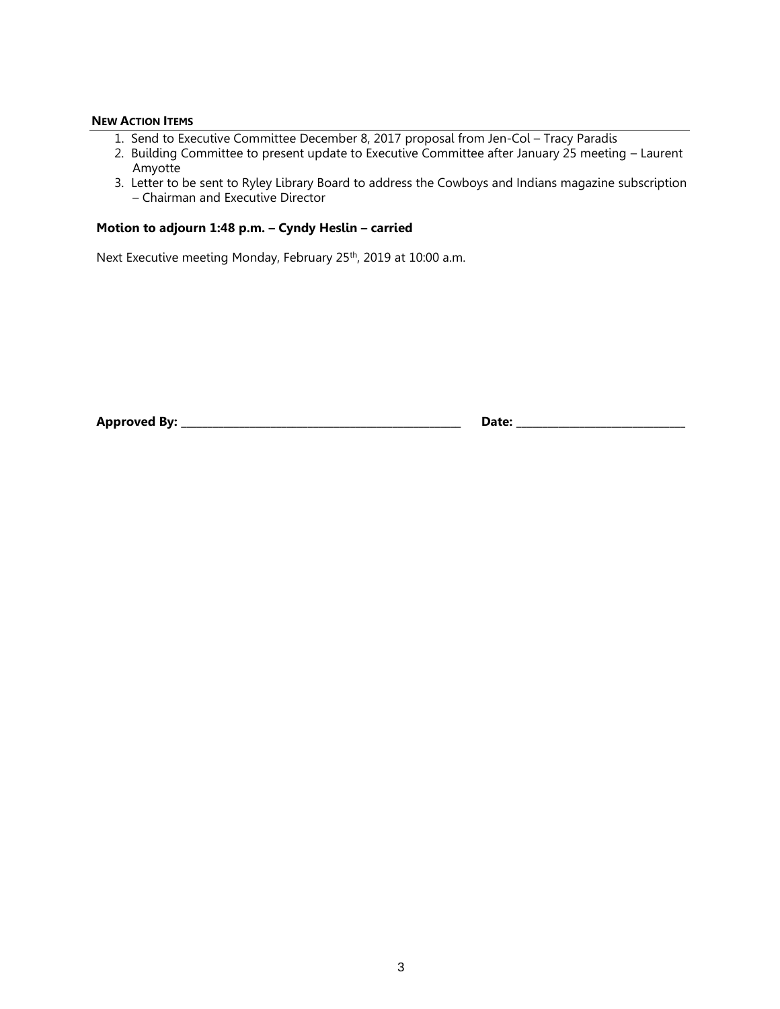# **NEW ACTION ITEMS**

- 1. Send to Executive Committee December 8, 2017 proposal from Jen-Col Tracy Paradis
- 2. Building Committee to present update to Executive Committee after January 25 meeting Laurent Amyotte
- 3. Letter to be sent to Ryley Library Board to address the Cowboys and Indians magazine subscription – Chairman and Executive Director

# **Motion to adjourn 1:48 p.m. – Cyndy Heslin – carried**

Next Executive meeting Monday, February 25<sup>th</sup>, 2019 at 10:00 a.m.

**Approved By: \_\_\_\_\_\_\_\_\_\_\_\_\_\_\_\_\_\_\_\_\_\_\_\_\_\_\_\_\_\_\_\_\_\_\_\_\_\_\_\_\_\_\_\_\_\_\_\_\_\_\_\_\_ Date: \_\_\_\_\_\_\_\_\_\_\_\_\_\_\_\_\_\_\_\_\_\_\_\_\_\_\_\_\_\_\_\_**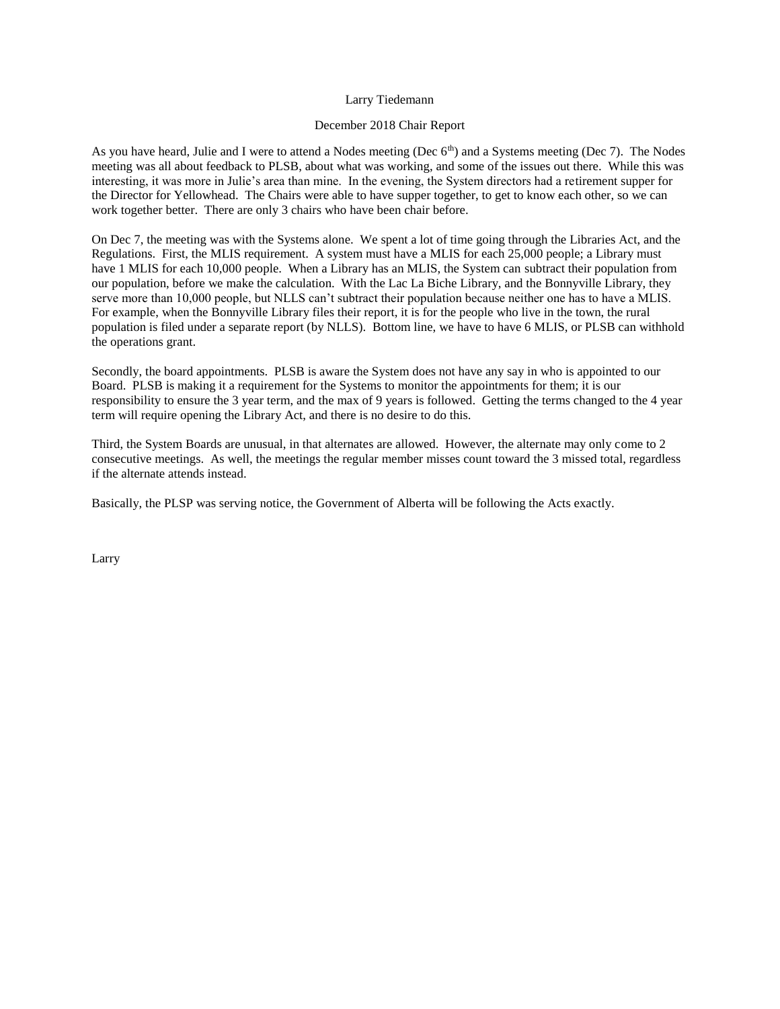## Larry Tiedemann

## December 2018 Chair Report

As you have heard, Julie and I were to attend a Nodes meeting (Dec 6<sup>th</sup>) and a Systems meeting (Dec 7). The Nodes meeting was all about feedback to PLSB, about what was working, and some of the issues out there. While this was interesting, it was more in Julie's area than mine. In the evening, the System directors had a retirement supper for the Director for Yellowhead. The Chairs were able to have supper together, to get to know each other, so we can work together better. There are only 3 chairs who have been chair before.

On Dec 7, the meeting was with the Systems alone. We spent a lot of time going through the Libraries Act, and the Regulations. First, the MLIS requirement. A system must have a MLIS for each 25,000 people; a Library must have 1 MLIS for each 10,000 people. When a Library has an MLIS, the System can subtract their population from our population, before we make the calculation. With the Lac La Biche Library, and the Bonnyville Library, they serve more than 10,000 people, but NLLS can't subtract their population because neither one has to have a MLIS. For example, when the Bonnyville Library files their report, it is for the people who live in the town, the rural population is filed under a separate report (by NLLS). Bottom line, we have to have 6 MLIS, or PLSB can withhold the operations grant.

Secondly, the board appointments. PLSB is aware the System does not have any say in who is appointed to our Board. PLSB is making it a requirement for the Systems to monitor the appointments for them; it is our responsibility to ensure the 3 year term, and the max of 9 years is followed. Getting the terms changed to the 4 year term will require opening the Library Act, and there is no desire to do this.

Third, the System Boards are unusual, in that alternates are allowed. However, the alternate may only come to 2 consecutive meetings. As well, the meetings the regular member misses count toward the 3 missed total, regardless if the alternate attends instead.

Basically, the PLSP was serving notice, the Government of Alberta will be following the Acts exactly.

Larry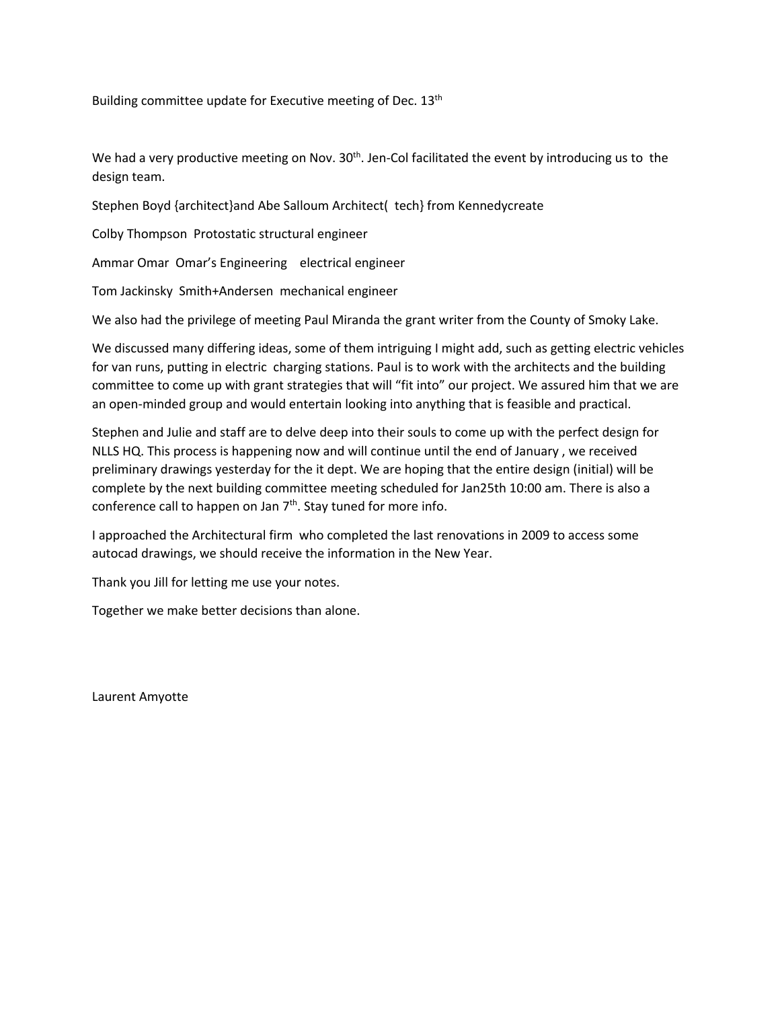Building committee update for Executive meeting of Dec. 13<sup>th</sup>

We had a very productive meeting on Nov.  $30<sup>th</sup>$ . Jen-Col facilitated the event by introducing us to the design team.

Stephen Boyd {architect}and Abe Salloum Architect( tech} from Kennedycreate

Colby Thompson Protostatic structural engineer

Ammar Omar Omar's Engineering electrical engineer

Tom Jackinsky Smith+Andersen mechanical engineer

We also had the privilege of meeting Paul Miranda the grant writer from the County of Smoky Lake.

We discussed many differing ideas, some of them intriguing I might add, such as getting electric vehicles for van runs, putting in electric charging stations. Paul is to work with the architects and the building committee to come up with grant strategies that will "fit into" our project. We assured him that we are an open-minded group and would entertain looking into anything that is feasible and practical.

Stephen and Julie and staff are to delve deep into their souls to come up with the perfect design for NLLS HQ. This process is happening now and will continue until the end of January , we received preliminary drawings yesterday for the it dept. We are hoping that the entire design (initial) will be complete by the next building committee meeting scheduled for Jan25th 10:00 am. There is also a conference call to happen on Jan 7<sup>th</sup>. Stay tuned for more info.

I approached the Architectural firm who completed the last renovations in 2009 to access some autocad drawings, we should receive the information in the New Year.

Thank you Jill for letting me use your notes.

Together we make better decisions than alone.

Laurent Amyotte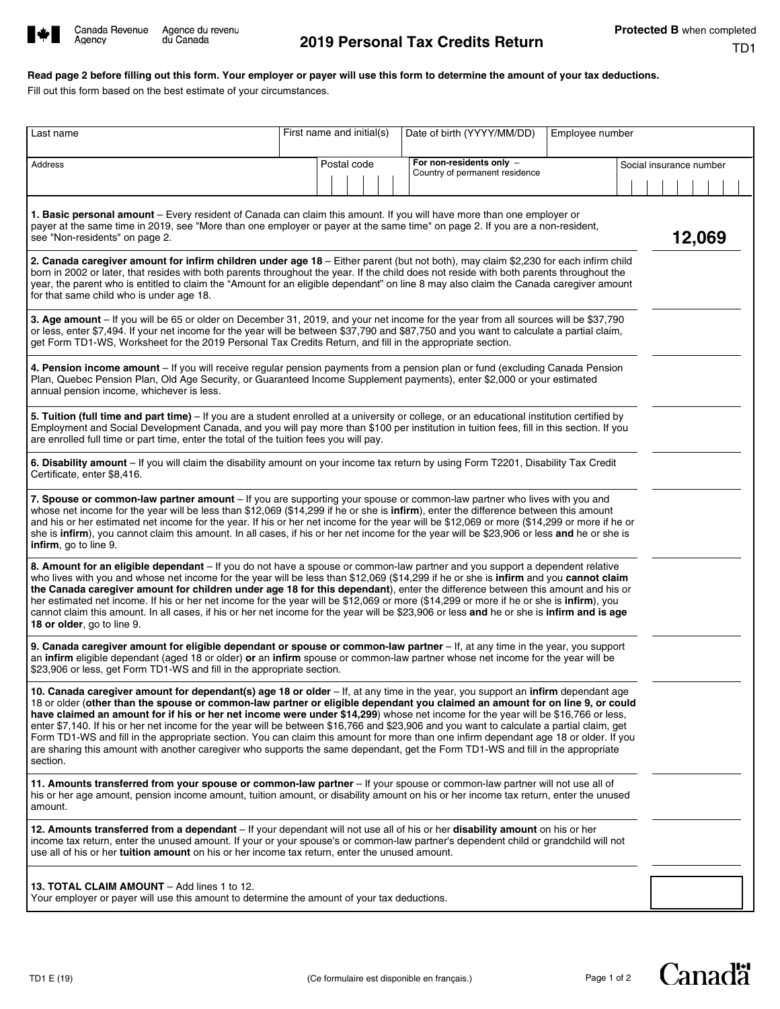

Agency

# **Read page 2 before filling out this form. Your employer or payer will use this form to determine the amount of your tax deductions.**

Fill out this form based on the best estimate of your circumstances.

| Last name                                                                                                                                                                                                                                                                                                                                                                                                                                                                                                                                                                                                                                                                                                                                                                                                                                | First name and initial(s) |  |  |  | Date of birth (YYYY/MM/DD)                                 | Employee number |  |                         |  |  |
|------------------------------------------------------------------------------------------------------------------------------------------------------------------------------------------------------------------------------------------------------------------------------------------------------------------------------------------------------------------------------------------------------------------------------------------------------------------------------------------------------------------------------------------------------------------------------------------------------------------------------------------------------------------------------------------------------------------------------------------------------------------------------------------------------------------------------------------|---------------------------|--|--|--|------------------------------------------------------------|-----------------|--|-------------------------|--|--|
| <b>Address</b>                                                                                                                                                                                                                                                                                                                                                                                                                                                                                                                                                                                                                                                                                                                                                                                                                           | Postal code               |  |  |  | For non-residents only -<br>Country of permanent residence |                 |  | Social insurance number |  |  |
|                                                                                                                                                                                                                                                                                                                                                                                                                                                                                                                                                                                                                                                                                                                                                                                                                                          |                           |  |  |  |                                                            |                 |  |                         |  |  |
| 1. Basic personal amount - Every resident of Canada can claim this amount. If you will have more than one employer or<br>payer at the same time in 2019, see "More than one employer or payer at the same time" on page 2. If you are a non-resident,<br>see "Non-residents" on page 2.                                                                                                                                                                                                                                                                                                                                                                                                                                                                                                                                                  |                           |  |  |  |                                                            |                 |  | 12,069                  |  |  |
| 2. Canada caregiver amount for infirm children under age 18 - Either parent (but not both), may claim \$2,230 for each infirm child<br>born in 2002 or later, that resides with both parents throughout the year. If the child does not reside with both parents throughout the<br>year, the parent who is entitled to claim the "Amount for an eligible dependant" on line 8 may also claim the Canada caregiver amount<br>for that same child who is under age 18.                                                                                                                                                                                                                                                                                                                                                                     |                           |  |  |  |                                                            |                 |  |                         |  |  |
| 3. Age amount - If you will be 65 or older on December 31, 2019, and your net income for the year from all sources will be \$37,790<br>or less, enter \$7,494. If your net income for the year will be between \$37,790 and \$87,750 and you want to calculate a partial claim,<br>get Form TD1-WS, Worksheet for the 2019 Personal Tax Credits Return, and fill in the appropriate section.                                                                                                                                                                                                                                                                                                                                                                                                                                             |                           |  |  |  |                                                            |                 |  |                         |  |  |
| 4. Pension income amount - If you will receive regular pension payments from a pension plan or fund (excluding Canada Pension<br>Plan, Quebec Pension Plan, Old Age Security, or Guaranteed Income Supplement payments), enter \$2,000 or your estimated<br>annual pension income, whichever is less.                                                                                                                                                                                                                                                                                                                                                                                                                                                                                                                                    |                           |  |  |  |                                                            |                 |  |                         |  |  |
| 5. Tuition (full time and part time) - If you are a student enrolled at a university or college, or an educational institution certified by<br>Employment and Social Development Canada, and you will pay more than \$100 per institution in tuition fees, fill in this section. If you<br>are enrolled full time or part time, enter the total of the tuition fees you will pay.                                                                                                                                                                                                                                                                                                                                                                                                                                                        |                           |  |  |  |                                                            |                 |  |                         |  |  |
| 6. Disability amount - If you will claim the disability amount on your income tax return by using Form T2201, Disability Tax Credit<br>Certificate, enter \$8,416.                                                                                                                                                                                                                                                                                                                                                                                                                                                                                                                                                                                                                                                                       |                           |  |  |  |                                                            |                 |  |                         |  |  |
| 7. Spouse or common-law partner amount - If you are supporting your spouse or common-law partner who lives with you and<br>whose net income for the year will be less than \$12,069 (\$14,299 if he or she is infirm), enter the difference between this amount<br>and his or her estimated net income for the year. If his or her net income for the year will be \$12,069 or more (\$14,299 or more if he or<br>she is <b>infirm</b> ), you cannot claim this amount. In all cases, if his or her net income for the year will be \$23,906 or less and he or she is<br>infirm, go to line 9.                                                                                                                                                                                                                                           |                           |  |  |  |                                                            |                 |  |                         |  |  |
| 8. Amount for an eligible dependant - If you do not have a spouse or common-law partner and you support a dependent relative<br>who lives with you and whose net income for the year will be less than \$12,069 (\$14,299 if he or she is infirm and you cannot claim<br>the Canada caregiver amount for children under age 18 for this dependant), enter the difference between this amount and his or<br>her estimated net income. If his or her net income for the year will be \$12,069 or more (\$14,299 or more if he or she is infirm), you<br>cannot claim this amount. In all cases, if his or her net income for the year will be \$23,906 or less and he or she is infirm and is age<br>18 or older, go to line 9.                                                                                                            |                           |  |  |  |                                                            |                 |  |                         |  |  |
| 9. Canada caregiver amount for eligible dependant or spouse or common-law partner - If, at any time in the year, you support<br>an infirm eligible dependant (aged 18 or older) or an infirm spouse or common-law partner whose net income for the year will be<br>\$23,906 or less, get Form TD1-WS and fill in the appropriate section.                                                                                                                                                                                                                                                                                                                                                                                                                                                                                                |                           |  |  |  |                                                            |                 |  |                         |  |  |
| 10. Canada caregiver amount for dependant(s) age 18 or older - If, at any time in the year, you support an infirm dependant age<br>18 or older (other than the spouse or common-law partner or eligible dependant you claimed an amount for on line 9, or could<br>have claimed an amount for if his or her net income were under \$14,299) whose net income for the year will be \$16,766 or less,<br>enter \$7,140. If his or her net income for the year will be between \$16,766 and \$23,906 and you want to calculate a partial claim, get<br>Form TD1-WS and fill in the appropriate section. You can claim this amount for more than one infirm dependant age 18 or older. If you<br>are sharing this amount with another caregiver who supports the same dependant, get the Form TD1-WS and fill in the appropriate<br>section. |                           |  |  |  |                                                            |                 |  |                         |  |  |
| 11. Amounts transferred from your spouse or common-law partner – If your spouse or common-law partner will not use all of<br>his or her age amount, pension income amount, tuition amount, or disability amount on his or her income tax return, enter the unused<br>amount.                                                                                                                                                                                                                                                                                                                                                                                                                                                                                                                                                             |                           |  |  |  |                                                            |                 |  |                         |  |  |
| 12. Amounts transferred from a dependant – If your dependant will not use all of his or her disability amount on his or her<br>income tax return, enter the unused amount. If your or your spouse's or common-law partner's dependent child or grandchild will not<br>use all of his or her <b>tuition amount</b> on his or her income tax return, enter the unused amount.                                                                                                                                                                                                                                                                                                                                                                                                                                                              |                           |  |  |  |                                                            |                 |  |                         |  |  |
| 13. TOTAL CLAIM AMOUNT - Add lines 1 to 12.<br>Your employer or payer will use this amount to determine the amount of your tax deductions.                                                                                                                                                                                                                                                                                                                                                                                                                                                                                                                                                                                                                                                                                               |                           |  |  |  |                                                            |                 |  |                         |  |  |

**Canadä**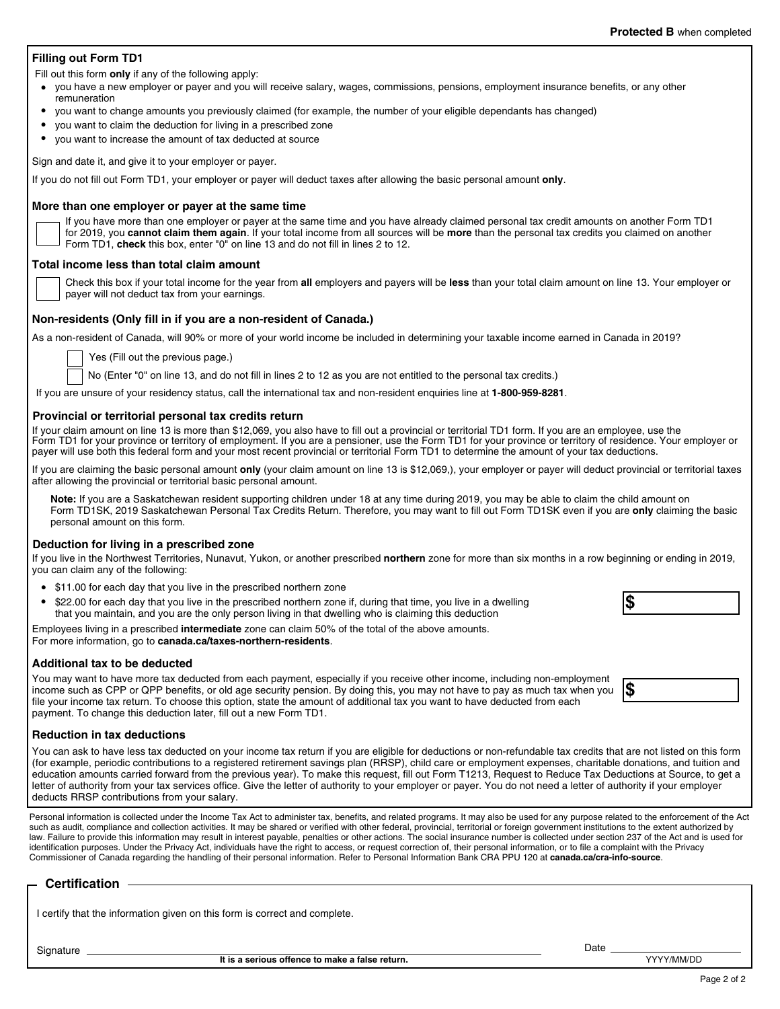## **Protected B** when completed

## **Filling out Form TD1**

Fill out this form **only** if any of the following apply:

- you have a new employer or payer and you will receive salary, wages, commissions, pensions, employment insurance benefits, or any other remuneration
- you want to change amounts you previously claimed (for example, the number of your eligible dependants has changed)
- you want to claim the deduction for living in a prescribed zone
- you want to increase the amount of tax deducted at source

Sign and date it, and give it to your employer or payer.

If you do not fill out Form TD1, your employer or payer will deduct taxes after allowing the basic personal amount **only**.

#### **More than one employer or payer at the same time**

If you have more than one employer or payer at the same time and you have already claimed personal tax credit amounts on another Form TD1 for 2019, you **cannot claim them again**. If your total income from all sources will be **more** than the personal tax credits you claimed on another Form TD1, **check** this box, enter "0" on line 13 and do not fill in lines 2 to 12.

#### **Total income less than total claim amount**

Check this box if your total income for the year from **all** employers and payers will be **less** than your total claim amount on line 13. Your employer or payer will not deduct tax from your earnings.

### **Non-residents (Only fill in if you are a non-resident of Canada.)**

As a non-resident of Canada, will 90% or more of your world income be included in determining your taxable income earned in Canada in 2019?

Yes (Fill out the previous page.)

No (Enter "0" on line 13, and do not fill in lines 2 to 12 as you are not entitled to the personal tax credits.)

If you are unsure of your residency status, call the international tax and non-resident enquiries line at **1-800-959-8281**.

### **Provincial or territorial personal tax credits return**

If your claim amount on line 13 is more than \$12,069, you also have to fill out a provincial or territorial TD1 form. If you are an employee, use the Form TD1 for your province or territory of employment. If you are a pensioner, use the Form TD1 for your province or territory of residence. Your employer or payer will use both this federal form and your most recent provincial or territorial Form TD1 to determine the amount of your tax deductions.

If you are claiming the basic personal amount **only** (your claim amount on line 13 is \$12,069,), your employer or payer will deduct provincial or territorial taxes after allowing the provincial or territorial basic personal amount.

**Note:** If you are a Saskatchewan resident supporting children under 18 at any time during 2019, you may be able to claim the child amount on Form TD1SK, 2019 Saskatchewan Personal Tax Credits Return. Therefore, you may want to fill out Form TD1SK even if you are **only** claiming the basic personal amount on this form.

## **Deduction for living in a prescribed zone**

If you live in the Northwest Territories, Nunavut, Yukon, or another prescribed **northern** zone for more than six months in a row beginning or ending in 2019, you can claim any of the following:

- \$11.00 for each day that you live in the prescribed northern zone
- \$22.00 for each day that you live in the prescribed northern zone if, during that time, you live in a dwelling that you maintain, and you are the only person living in that dwelling who is claiming this deduction **\$**
- Employees living in a prescribed **intermediate** zone can claim 50% of the total of the above amounts.

For more information, go to **canada.ca/taxes-northern-residents**.

#### **Additional tax to be deducted**

You may want to have more tax deducted from each payment, especially if you receive other income, including non-employment income such as CPP or QPP benefits, or old age security pension. By doing this, you may not have to pay as much tax when you file your income tax return. To choose this option, state the amount of additional tax you want to have deducted from each payment. To change this deduction later, fill out a new Form TD1.

# **\$**

**Reduction in tax deductions**

You can ask to have less tax deducted on your income tax return if you are eligible for deductions or non-refundable tax credits that are not listed on this form (for example, periodic contributions to a registered retirement savings plan (RRSP), child care or employment expenses, charitable donations, and tuition and education amounts carried forward from the previous year). To make this request, fill out Form T1213. Request to Reduce Tax Deductions at Source, to get a letter of authority from your tax services office. Give the letter of authority to your employer or payer. You do not need a letter of authority if your employer deducts RRSP contributions from your salary.

Personal information is collected under the Income Tax Act to administer tax, benefits, and related programs. It may also be used for any purpose related to the enforcement of the Act such as audit, compliance and collection activities. It may be shared or verified with other federal, provincial, territorial or foreign government institutions to the extent authorized by law. Failure to provide this information may result in interest payable, penalties or other actions. The social insurance number is collected under section 237 of the Act and is used for identification purposes. Under the Privacy Act, individuals have the right to access, or request correction of, their personal information, or to file a complaint with the Privacy Commissioner of Canada regarding the handling of their personal information. Refer to Personal Information Bank CRA PPU 120 at **canada.ca/cra-info-source**.

## **Certification**

Signature

YYYY/MM/DD

Date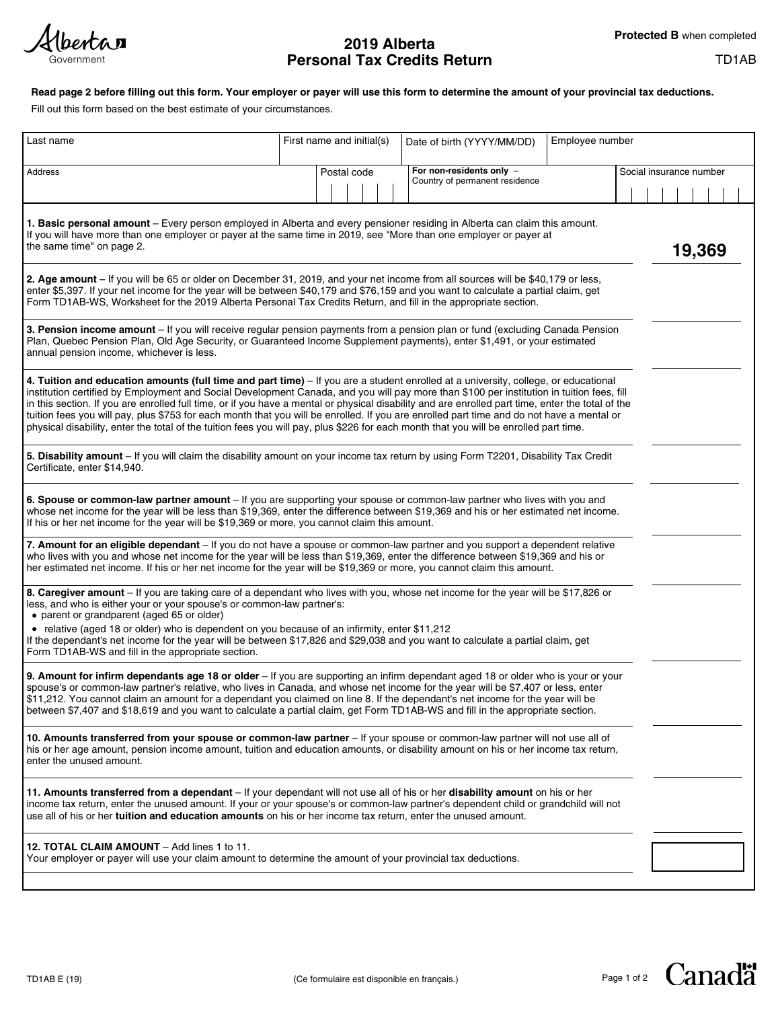Hbertan Government

# **2019 Alberta Personal Tax Credits Return**

# TD1AB

# **Read page 2 before filling out this form. Your employer or payer will use this form to determine the amount of your provincial tax deductions.**

Fill out this form based on the best estimate of your circumstances.

| Last name                                                                                                                                                                                                                                                                                                                                                                                                                                                                                                                                                                                                                                                                                                                   |  | First name and initial(s) |  |  | Date of birth (YYYY/MM/DD)                                 | Employee number |                         |  |  |        |  |
|-----------------------------------------------------------------------------------------------------------------------------------------------------------------------------------------------------------------------------------------------------------------------------------------------------------------------------------------------------------------------------------------------------------------------------------------------------------------------------------------------------------------------------------------------------------------------------------------------------------------------------------------------------------------------------------------------------------------------------|--|---------------------------|--|--|------------------------------------------------------------|-----------------|-------------------------|--|--|--------|--|
| Address                                                                                                                                                                                                                                                                                                                                                                                                                                                                                                                                                                                                                                                                                                                     |  | Postal code               |  |  | For non-residents only -<br>Country of permanent residence |                 | Social insurance number |  |  |        |  |
|                                                                                                                                                                                                                                                                                                                                                                                                                                                                                                                                                                                                                                                                                                                             |  |                           |  |  |                                                            |                 |                         |  |  |        |  |
| 1. Basic personal amount - Every person employed in Alberta and every pensioner residing in Alberta can claim this amount.<br>If you will have more than one employer or payer at the same time in 2019, see "More than one employer or payer at<br>the same time" on page 2.                                                                                                                                                                                                                                                                                                                                                                                                                                               |  |                           |  |  |                                                            |                 |                         |  |  | 19,369 |  |
| 2. Age amount - If you will be 65 or older on December 31, 2019, and your net income from all sources will be \$40,179 or less,<br>enter \$5,397. If your net income for the year will be between \$40,179 and \$76,159 and you want to calculate a partial claim, get<br>Form TD1AB-WS, Worksheet for the 2019 Alberta Personal Tax Credits Return, and fill in the appropriate section.                                                                                                                                                                                                                                                                                                                                   |  |                           |  |  |                                                            |                 |                         |  |  |        |  |
| 3. Pension income amount - If you will receive regular pension payments from a pension plan or fund (excluding Canada Pension<br>Plan, Quebec Pension Plan, Old Age Security, or Guaranteed Income Supplement payments), enter \$1,491, or your estimated<br>annual pension income, whichever is less.                                                                                                                                                                                                                                                                                                                                                                                                                      |  |                           |  |  |                                                            |                 |                         |  |  |        |  |
| 4. Tuition and education amounts (full time and part time) - If you are a student enrolled at a university, college, or educational<br>institution certified by Employment and Social Development Canada, and you will pay more than \$100 per institution in tuition fees, fill<br>in this section. If you are enrolled full time, or if you have a mental or physical disability and are enrolled part time, enter the total of the<br>tuition fees you will pay, plus \$753 for each month that you will be enrolled. If you are enrolled part time and do not have a mental or<br>physical disability, enter the total of the tuition fees you will pay, plus \$226 for each month that you will be enrolled part time. |  |                           |  |  |                                                            |                 |                         |  |  |        |  |
| 5. Disability amount - If you will claim the disability amount on your income tax return by using Form T2201, Disability Tax Credit<br>Certificate, enter \$14,940.                                                                                                                                                                                                                                                                                                                                                                                                                                                                                                                                                         |  |                           |  |  |                                                            |                 |                         |  |  |        |  |
| 6. Spouse or common-law partner amount - If you are supporting your spouse or common-law partner who lives with you and<br>whose net income for the year will be less than \$19,369, enter the difference between \$19,369 and his or her estimated net income.<br>If his or her net income for the year will be \$19,369 or more, you cannot claim this amount.                                                                                                                                                                                                                                                                                                                                                            |  |                           |  |  |                                                            |                 |                         |  |  |        |  |
| 7. Amount for an eligible dependant - If you do not have a spouse or common-law partner and you support a dependent relative<br>who lives with you and whose net income for the year will be less than \$19,369, enter the difference between \$19,369 and his or<br>her estimated net income. If his or her net income for the year will be \$19,369 or more, you cannot claim this amount.                                                                                                                                                                                                                                                                                                                                |  |                           |  |  |                                                            |                 |                         |  |  |        |  |
| 8. Caregiver amount - If you are taking care of a dependant who lives with you, whose net income for the year will be \$17,826 or<br>less, and who is either your or your spouse's or common-law partner's:<br>• parent or grandparent (aged 65 or older)                                                                                                                                                                                                                                                                                                                                                                                                                                                                   |  |                           |  |  |                                                            |                 |                         |  |  |        |  |
| • relative (aged 18 or older) who is dependent on you because of an infirmity, enter \$11,212<br>If the dependant's net income for the year will be between \$17,826 and \$29,038 and you want to calculate a partial claim, get<br>Form TD1AB-WS and fill in the appropriate section.                                                                                                                                                                                                                                                                                                                                                                                                                                      |  |                           |  |  |                                                            |                 |                         |  |  |        |  |
| 9. Amount for infirm dependants age 18 or older – If you are supporting an infirm dependant aged 18 or older who is your or your<br>spouse's or common-law partner's relative, who lives in Canada, and whose net income for the year will be \$7,407 or less, enter<br>\$11,212. You cannot claim an amount for a dependant you claimed on line 8. If the dependant's net income for the year will be<br>between \$7,407 and \$18,619 and you want to calculate a partial claim, get Form TD1AB-WS and fill in the appropriate section.                                                                                                                                                                                    |  |                           |  |  |                                                            |                 |                         |  |  |        |  |
| 10. Amounts transferred from your spouse or common-law partner - If your spouse or common-law partner will not use all of<br>his or her age amount, pension income amount, tuition and education amounts, or disability amount on his or her income tax return,<br>enter the unused amount.                                                                                                                                                                                                                                                                                                                                                                                                                                 |  |                           |  |  |                                                            |                 |                         |  |  |        |  |
| 11. Amounts transferred from a dependant - If your dependant will not use all of his or her disability amount on his or her<br>income tax return, enter the unused amount. If your or your spouse's or common-law partner's dependent child or grandchild will not<br>use all of his or her tuition and education amounts on his or her income tax return, enter the unused amount.                                                                                                                                                                                                                                                                                                                                         |  |                           |  |  |                                                            |                 |                         |  |  |        |  |
| 12. TOTAL CLAIM AMOUNT - Add lines 1 to 11.<br>Your employer or payer will use your claim amount to determine the amount of your provincial tax deductions.                                                                                                                                                                                                                                                                                                                                                                                                                                                                                                                                                                 |  |                           |  |  |                                                            |                 |                         |  |  |        |  |